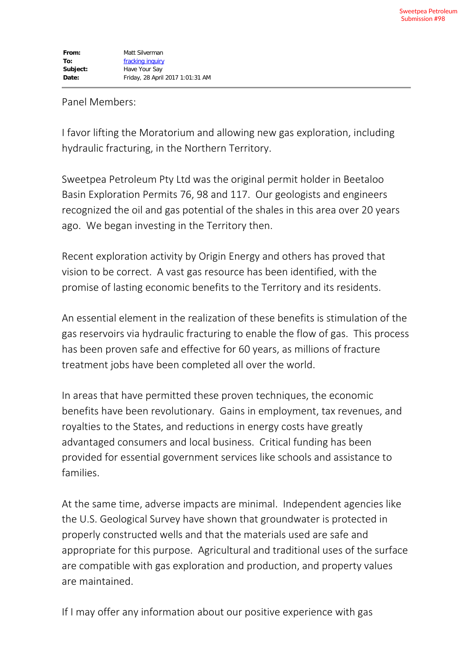## Panel Members:

I favor lifting the Moratorium and allowing new gas exploration, including hydraulic fracturing, in the Northern Territory.

Sweetpea Petroleum Pty Ltd was the original permit holder in Beetaloo Basin Exploration Permits 76, 98 and 117. Our geologists and engineers recognized the oil and gas potential of the shales in this area over 20 years ago. We began investing in the Territory then.

Recent exploration activity by Origin Energy and others has proved that vision to be correct. A vast gas resource has been identified, with the promise of lasting economic benefits to the Territory and its residents.

An essential element in the realization of these benefits is stimulation of the gas reservoirs via hydraulic fracturing to enable the flow of gas. This process has been proven safe and effective for 60 years, as millions of fracture treatment jobs have been completed all over the world.

In areas that have permitted these proven techniques, the economic benefits have been revolutionary. Gains in employment, tax revenues, and royalties to the States, and reductions in energy costs have greatly advantaged consumers and local business. Critical funding has been provided for essential government services like schools and assistance to families.

At the same time, adverse impacts are minimal. Independent agencies like the U.S. Geological Survey have shown that groundwater is protected in properly constructed wells and that the materials used are safe and appropriate for this purpose. Agricultural and traditional uses of the surface are compatible with gas exploration and production, and property values are maintained.

If I may offer any information about our positive experience with gas